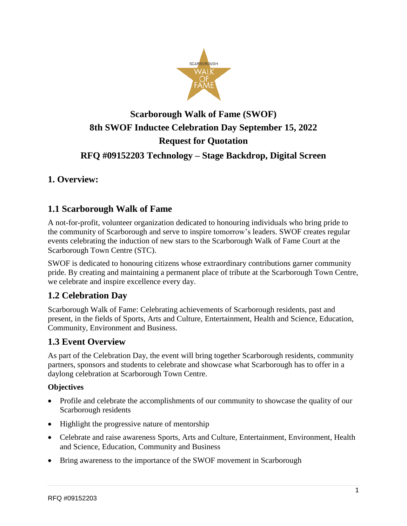

# **Scarborough Walk of Fame (SWOF) 8th SWOF Inductee Celebration Day September 15, 2022 Request for Quotation**

# **RFQ #09152203 Technology – Stage Backdrop, Digital Screen**

# **1. Overview:**

#### **1.1 Scarborough Walk of Fame**

A not-for-profit, volunteer organization dedicated to honouring individuals who bring pride to the community of Scarborough and serve to inspire tomorrow's leaders. SWOF creates regular events celebrating the induction of new stars to the Scarborough Walk of Fame Court at the Scarborough Town Centre (STC).

SWOF is dedicated to honouring citizens whose extraordinary contributions garner community pride. By creating and maintaining a permanent place of tribute at the Scarborough Town Centre, we celebrate and inspire excellence every day.

#### **1.2 Celebration Day**

Scarborough Walk of Fame: Celebrating achievements of Scarborough residents, past and present, in the fields of Sports, Arts and Culture, Entertainment, Health and Science, Education, Community, Environment and Business.

#### **1.3 Event Overview**

As part of the Celebration Day, the event will bring together Scarborough residents, community partners, sponsors and students to celebrate and showcase what Scarborough has to offer in a daylong celebration at Scarborough Town Centre.

#### **Objectives**

- Profile and celebrate the accomplishments of our community to showcase the quality of our Scarborough residents
- Highlight the progressive nature of mentorship
- Celebrate and raise awareness Sports, Arts and Culture, Entertainment, Environment, Health and Science, Education, Community and Business
- Bring awareness to the importance of the SWOF movement in Scarborough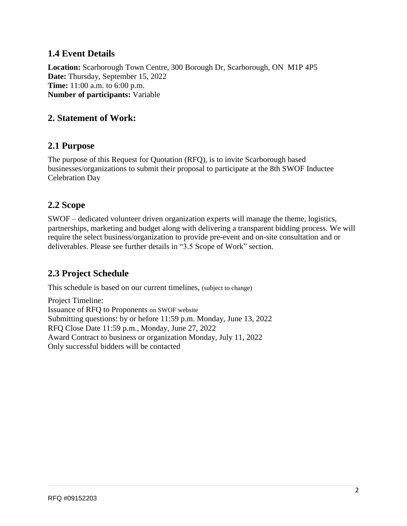#### **1.4 Event Details**

**Location:** Scarborough Town Centre, 300 Borough Dr, Scarborough, ON M1P 4P5 **Date:** Thursday, September 15, 2022 **Time:** 11:00 a.m. to 6:00 p.m. **Number of participants:** Variable

#### **2. Statement of Work:**

#### **2.1 Purpose**

The purpose of this Request for Quotation (RFQ), is to invite Scarborough based businesses/organizations to submit their proposal to participate at the 8th SWOF Inductee Celebration Day

#### **2.2 Scope**

SWOF – dedicated volunteer driven organization experts will manage the theme, logistics, partnerships, marketing and budget along with delivering a transparent bidding process. We will require the select business/organization to provide pre-event and on-site consultation and or deliverables. Please see further details in "3.5 Scope of Work" section.

# **2.3 Project Schedule**

This schedule is based on our current timelines, (subject to change)

Project Timeline: Issuance of RFQ to Proponents on SWOF website Submitting questions: by or before 11:59 p.m. Monday, June 13, 2022 RFQ Close Date 11:59 p.m., Monday, June 27, 2022 Award Contract to business or organization Monday, July 11, 2022 Only successful bidders will be contacted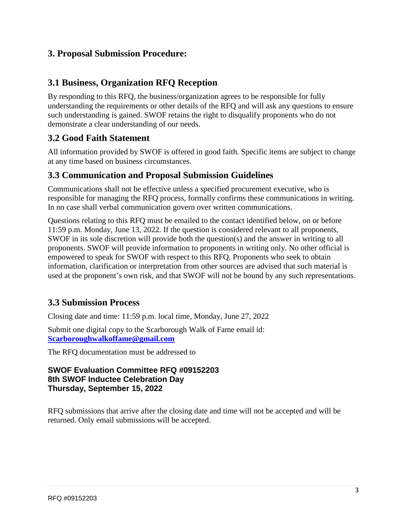#### **3. Proposal Submission Procedure:**

#### **3.1 Business, Organization RFQ Reception**

By responding to this RFQ, the business/organization agrees to be responsible for fully understanding the requirements or other details of the RFQ and will ask any questions to ensure such understanding is gained. SWOF retains the right to disqualify proponents who do not demonstrate a clear understanding of our needs.

## **3.2 Good Faith Statement**

All information provided by SWOF is offered in good faith. Specific items are subject to change at any time based on business circumstances.

#### **3.3 Communication and Proposal Submission Guidelines**

Communications shall not be effective unless a specified procurement executive, who is responsible for managing the RFQ process, formally confirms these communications in writing. In no case shall verbal communication govern over written communications.

Questions relating to this RFQ must be emailed to the contact identified below, on or before 11:59 p.m. Monday, June 13, 2022. If the question is considered relevant to all proponents, SWOF in its sole discretion will provide both the question(s) and the answer in writing to all proponents. SWOF will provide information to proponents in writing only. No other official is empowered to speak for SWOF with respect to this RFQ. Proponents who seek to obtain information, clarification or interpretation from other sources are advised that such material is used at the proponent's own risk, and that SWOF will not be bound by any such representations.

#### **3.3 Submission Process**

Closing date and time: 11:59 p.m. local time, Monday, June 27, 2022

Submit one digital copy to the Scarborough Walk of Fame email id: **[Scarboroughwalkoffame@gmail.com](mailto:Scarboroughwalkoffame@gmail.com)**

The RFQ documentation must be addressed to

#### **SWOF Evaluation Committee RFQ #09152203 8th SWOF Inductee Celebration Day Thursday, September 15, 2022**

RFQ submissions that arrive after the closing date and time will not be accepted and will be returned. Only email submissions will be accepted.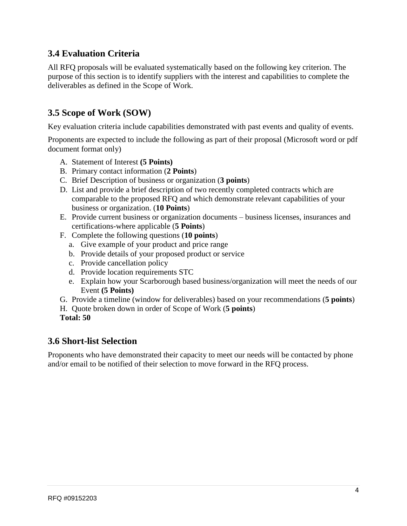## **3.4 Evaluation Criteria**

All RFQ proposals will be evaluated systematically based on the following key criterion. The purpose of this section is to identify suppliers with the interest and capabilities to complete the deliverables as defined in the Scope of Work.

## **3.5 Scope of Work (SOW)**

Key evaluation criteria include capabilities demonstrated with past events and quality of events.

Proponents are expected to include the following as part of their proposal (Microsoft word or pdf document format only)

- A. Statement of Interest **(5 Points)**
- B. Primary contact information (**2 Points**)
- C. Brief Description of business or organization (**3 points**)
- D. List and provide a brief description of two recently completed contracts which are comparable to the proposed RFQ and which demonstrate relevant capabilities of your business or organization. (**10 Points**)
- E. Provide current business or organization documents business licenses, insurances and certifications-where applicable (**5 Points**)
- F. Complete the following questions (**10 points**)
	- a. Give example of your product and price range
	- b. Provide details of your proposed product or service
	- c. Provide cancellation policy
	- d. Provide location requirements STC
	- e. Explain how your Scarborough based business/organization will meet the needs of our Event **(5 Points)**
- G. Provide a timeline (window for deliverables) based on your recommendations (**5 points**)
- H. Quote broken down in order of Scope of Work (**5 points**)
- **Total: 50**

#### **3.6 Short-list Selection**

Proponents who have demonstrated their capacity to meet our needs will be contacted by phone and/or email to be notified of their selection to move forward in the RFQ process.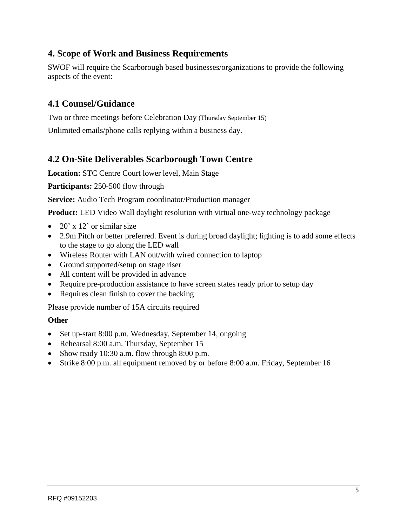### **4. Scope of Work and Business Requirements**

SWOF will require the Scarborough based businesses/organizations to provide the following aspects of the event:

#### **4.1 Counsel/Guidance**

Two or three meetings before Celebration Day (Thursday September 15) Unlimited emails/phone calls replying within a business day.

#### **4.2 On-Site Deliverables Scarborough Town Centre**

**Location:** STC Centre Court lower level, Main Stage

**Participants:** 250-500 flow through

**Service:** Audio Tech Program coordinator/Production manager

**Product:** LED Video Wall daylight resolution with virtual one-way technology package

- 20' x 12' or similar size
- 2.9m Pitch or better preferred. Event is during broad daylight; lighting is to add some effects to the stage to go along the LED wall
- Wireless Router with LAN out/with wired connection to laptop
- Ground supported/setup on stage riser
- All content will be provided in advance
- Require pre-production assistance to have screen states ready prior to setup day
- Requires clean finish to cover the backing

Please provide number of 15A circuits required

#### **Other**

- Set up-start 8:00 p.m. Wednesday, September 14, ongoing
- Rehearsal 8:00 a.m. Thursday, September 15
- Show ready 10:30 a.m. flow through 8:00 p.m.
- Strike 8:00 p.m. all equipment removed by or before 8:00 a.m. Friday, September 16